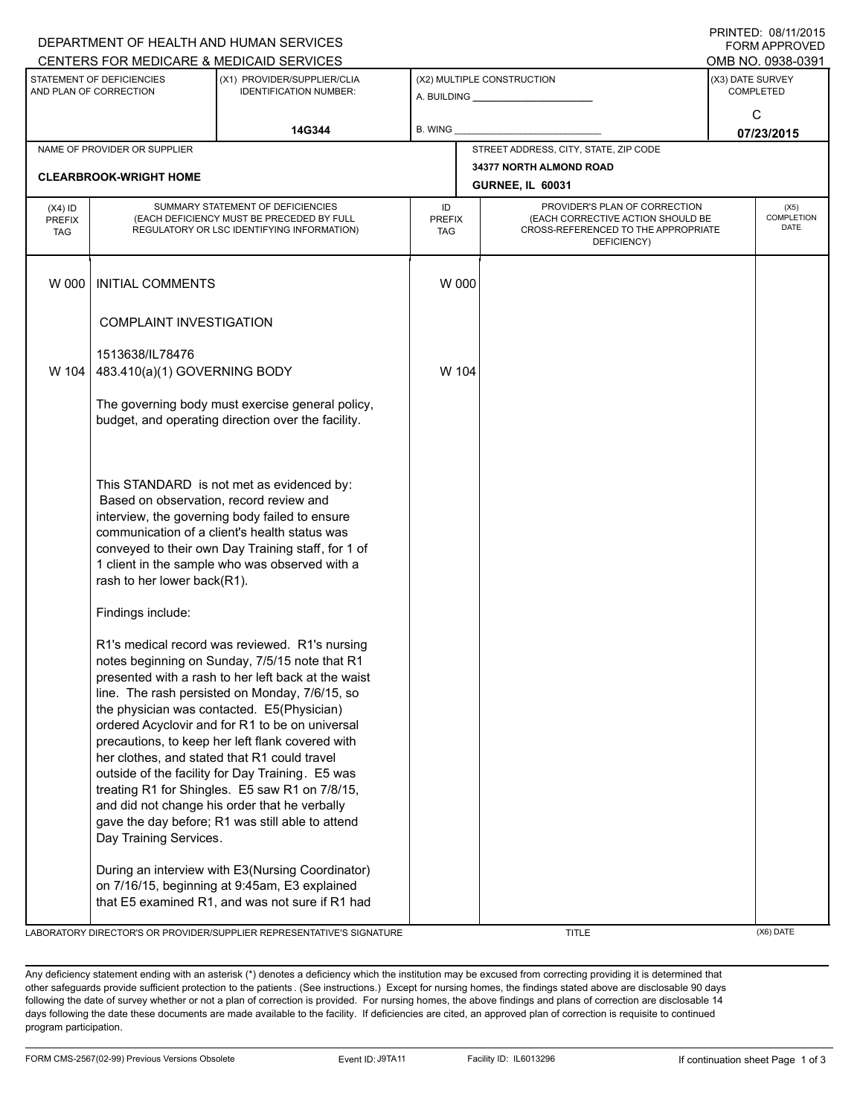| DEPARTMENT OF HEALTH AND HUMAN SERVICES             |                                                                                                                                                                                                                                                                                                                                |                                                                                                                                                                                                                                                                                                                                                                                                                                                                                                                                                                                                                           |                            |                                                       |                                                                                                                          |                                          |                   |  |  |
|-----------------------------------------------------|--------------------------------------------------------------------------------------------------------------------------------------------------------------------------------------------------------------------------------------------------------------------------------------------------------------------------------|---------------------------------------------------------------------------------------------------------------------------------------------------------------------------------------------------------------------------------------------------------------------------------------------------------------------------------------------------------------------------------------------------------------------------------------------------------------------------------------------------------------------------------------------------------------------------------------------------------------------------|----------------------------|-------------------------------------------------------|--------------------------------------------------------------------------------------------------------------------------|------------------------------------------|-------------------|--|--|
|                                                     |                                                                                                                                                                                                                                                                                                                                | CENTERS FOR MEDICARE & MEDICAID SERVICES                                                                                                                                                                                                                                                                                                                                                                                                                                                                                                                                                                                  |                            |                                                       |                                                                                                                          |                                          | OMB NO. 0938-0391 |  |  |
| STATEMENT OF DEFICIENCIES<br>AND PLAN OF CORRECTION |                                                                                                                                                                                                                                                                                                                                | (X1) PROVIDER/SUPPLIER/CLIA<br><b>IDENTIFICATION NUMBER:</b>                                                                                                                                                                                                                                                                                                                                                                                                                                                                                                                                                              |                            | (X2) MULTIPLE CONSTRUCTION<br>A. BUILDING A. BUILDING |                                                                                                                          | (X3) DATE SURVEY<br><b>COMPLETED</b>     |                   |  |  |
|                                                     |                                                                                                                                                                                                                                                                                                                                | 14G344                                                                                                                                                                                                                                                                                                                                                                                                                                                                                                                                                                                                                    | B. WING                    |                                                       |                                                                                                                          | C<br>07/23/2015                          |                   |  |  |
|                                                     | NAME OF PROVIDER OR SUPPLIER                                                                                                                                                                                                                                                                                                   |                                                                                                                                                                                                                                                                                                                                                                                                                                                                                                                                                                                                                           |                            | STREET ADDRESS, CITY, STATE, ZIP CODE                 |                                                                                                                          |                                          |                   |  |  |
|                                                     | <b>CLEARBROOK-WRIGHT HOME</b>                                                                                                                                                                                                                                                                                                  |                                                                                                                                                                                                                                                                                                                                                                                                                                                                                                                                                                                                                           |                            |                                                       | 34377 NORTH ALMOND ROAD<br><b>GURNEE, IL 60031</b>                                                                       |                                          |                   |  |  |
| $(X4)$ ID<br>PREFIX<br><b>TAG</b>                   | SUMMARY STATEMENT OF DEFICIENCIES<br>(EACH DEFICIENCY MUST BE PRECEDED BY FULL<br>REGULATORY OR LSC IDENTIFYING INFORMATION)                                                                                                                                                                                                   |                                                                                                                                                                                                                                                                                                                                                                                                                                                                                                                                                                                                                           | ID<br><b>PREFIX</b><br>TAG |                                                       | PROVIDER'S PLAN OF CORRECTION<br>(EACH CORRECTIVE ACTION SHOULD BE<br>CROSS-REFERENCED TO THE APPROPRIATE<br>DEFICIENCY) | (X5)<br><b>COMPLETION</b><br><b>DATE</b> |                   |  |  |
| W 000                                               | <b>INITIAL COMMENTS</b>                                                                                                                                                                                                                                                                                                        |                                                                                                                                                                                                                                                                                                                                                                                                                                                                                                                                                                                                                           | W 000                      |                                                       |                                                                                                                          |                                          |                   |  |  |
|                                                     | <b>COMPLAINT INVESTIGATION</b>                                                                                                                                                                                                                                                                                                 |                                                                                                                                                                                                                                                                                                                                                                                                                                                                                                                                                                                                                           |                            |                                                       |                                                                                                                          |                                          |                   |  |  |
| W 104                                               | 1513638/IL78476<br>483.410(a)(1) GOVERNING BODY                                                                                                                                                                                                                                                                                |                                                                                                                                                                                                                                                                                                                                                                                                                                                                                                                                                                                                                           | W 104                      |                                                       |                                                                                                                          |                                          |                   |  |  |
|                                                     | The governing body must exercise general policy,<br>budget, and operating direction over the facility.                                                                                                                                                                                                                         |                                                                                                                                                                                                                                                                                                                                                                                                                                                                                                                                                                                                                           |                            |                                                       |                                                                                                                          |                                          |                   |  |  |
|                                                     | This STANDARD is not met as evidenced by:<br>Based on observation, record review and<br>interview, the governing body failed to ensure<br>communication of a client's health status was<br>conveyed to their own Day Training staff, for 1 of<br>1 client in the sample who was observed with a<br>rash to her lower back(R1). |                                                                                                                                                                                                                                                                                                                                                                                                                                                                                                                                                                                                                           |                            |                                                       |                                                                                                                          |                                          |                   |  |  |
|                                                     | Findings include:                                                                                                                                                                                                                                                                                                              |                                                                                                                                                                                                                                                                                                                                                                                                                                                                                                                                                                                                                           |                            |                                                       |                                                                                                                          |                                          |                   |  |  |
|                                                     | Day Training Services.                                                                                                                                                                                                                                                                                                         | R1's medical record was reviewed. R1's nursing<br>notes beginning on Sunday, 7/5/15 note that R1<br>presented with a rash to her left back at the waist<br>line. The rash persisted on Monday, 7/6/15, so<br>the physician was contacted. E5(Physician)<br>ordered Acyclovir and for R1 to be on universal<br>precautions, to keep her left flank covered with<br>her clothes, and stated that R1 could travel<br>outside of the facility for Day Training. E5 was<br>treating R1 for Shingles. E5 saw R1 on 7/8/15,<br>and did not change his order that he verbally<br>gave the day before; R1 was still able to attend |                            |                                                       |                                                                                                                          |                                          |                   |  |  |
|                                                     |                                                                                                                                                                                                                                                                                                                                | During an interview with E3(Nursing Coordinator)<br>on 7/16/15, beginning at 9:45am, E3 explained<br>that E5 examined R1, and was not sure if R1 had                                                                                                                                                                                                                                                                                                                                                                                                                                                                      |                            |                                                       |                                                                                                                          |                                          |                   |  |  |

LABORATORY DIRECTOR'S OR PROVIDER/SUPPLIER REPRESENTATIVE'S SIGNATURE THE TITLE THE TITLE (X6) DATE

PRINTED: 08/11/2015  $\sim$ 

Any deficiency statement ending with an asterisk (\*) denotes a deficiency which the institution may be excused from correcting providing it is determined that other safeguards provide sufficient protection to the patients . (See instructions.) Except for nursing homes, the findings stated above are disclosable 90 days following the date of survey whether or not a plan of correction is provided. For nursing homes, the above findings and plans of correction are disclosable 14 days following the date these documents are made available to the facility. If deficiencies are cited, an approved plan of correction is requisite to continued program participation.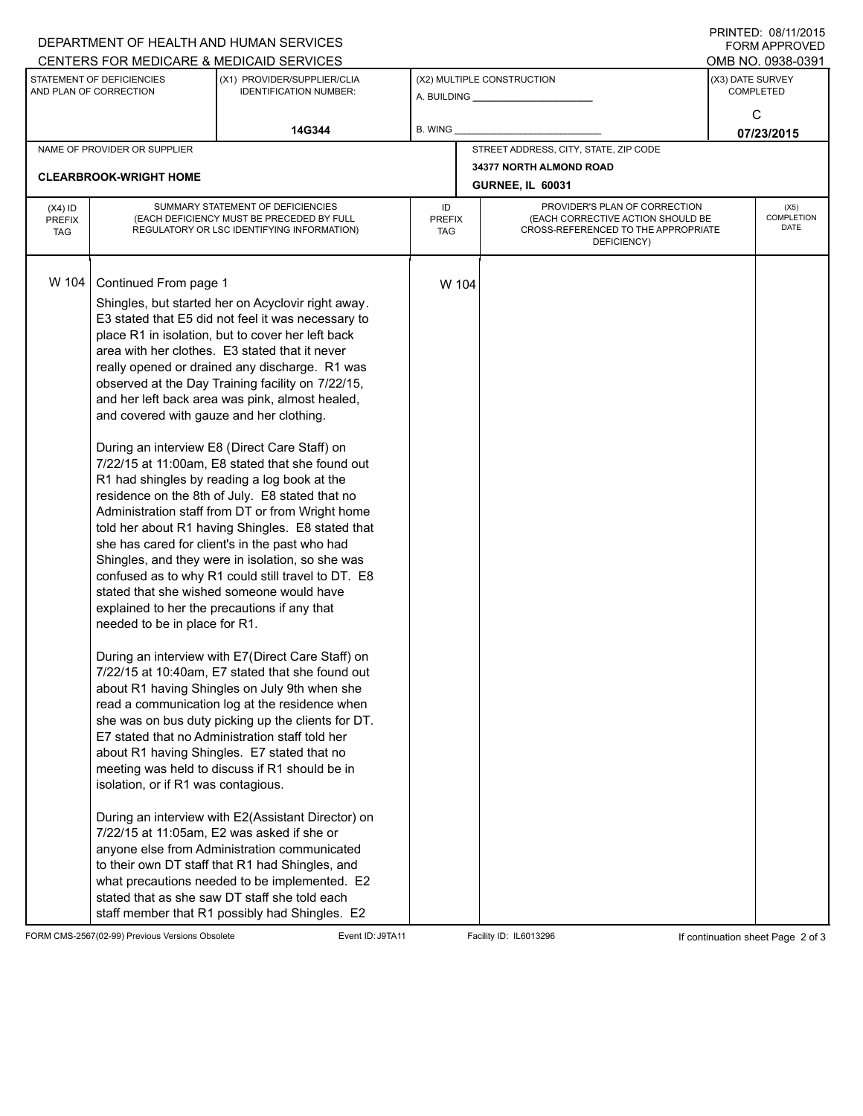| DEPARTMENT OF HEALTH AND HUMAN SERVICES             |                                                                                                                                                                                                                                                                                                                                                                                                                                                                                                                                                                                                                                                                                                                                                                                                                                                                                                                                                                                                                                                                                                                                                                                                                                                                                                                                                                                                                                                                                                                                                                                                                                                                                                                                                                                                                                                                                   |                                                              |                                   |                                                              |                                                                                                                          |                                      | טו ט∠זווישט. ט∟וואו ו<br>FORM APPROVED |  |  |
|-----------------------------------------------------|-----------------------------------------------------------------------------------------------------------------------------------------------------------------------------------------------------------------------------------------------------------------------------------------------------------------------------------------------------------------------------------------------------------------------------------------------------------------------------------------------------------------------------------------------------------------------------------------------------------------------------------------------------------------------------------------------------------------------------------------------------------------------------------------------------------------------------------------------------------------------------------------------------------------------------------------------------------------------------------------------------------------------------------------------------------------------------------------------------------------------------------------------------------------------------------------------------------------------------------------------------------------------------------------------------------------------------------------------------------------------------------------------------------------------------------------------------------------------------------------------------------------------------------------------------------------------------------------------------------------------------------------------------------------------------------------------------------------------------------------------------------------------------------------------------------------------------------------------------------------------------------|--------------------------------------------------------------|-----------------------------------|--------------------------------------------------------------|--------------------------------------------------------------------------------------------------------------------------|--------------------------------------|----------------------------------------|--|--|
|                                                     |                                                                                                                                                                                                                                                                                                                                                                                                                                                                                                                                                                                                                                                                                                                                                                                                                                                                                                                                                                                                                                                                                                                                                                                                                                                                                                                                                                                                                                                                                                                                                                                                                                                                                                                                                                                                                                                                                   | CENTERS FOR MEDICARE & MEDICAID SERVICES                     |                                   |                                                              |                                                                                                                          |                                      | OMB NO. 0938-0391                      |  |  |
| STATEMENT OF DEFICIENCIES<br>AND PLAN OF CORRECTION |                                                                                                                                                                                                                                                                                                                                                                                                                                                                                                                                                                                                                                                                                                                                                                                                                                                                                                                                                                                                                                                                                                                                                                                                                                                                                                                                                                                                                                                                                                                                                                                                                                                                                                                                                                                                                                                                                   | (X1) PROVIDER/SUPPLIER/CLIA<br><b>IDENTIFICATION NUMBER:</b> |                                   | (X2) MULTIPLE CONSTRUCTION<br>A. BUILDING <b>A.</b> BUILDING |                                                                                                                          | (X3) DATE SURVEY<br><b>COMPLETED</b> |                                        |  |  |
|                                                     |                                                                                                                                                                                                                                                                                                                                                                                                                                                                                                                                                                                                                                                                                                                                                                                                                                                                                                                                                                                                                                                                                                                                                                                                                                                                                                                                                                                                                                                                                                                                                                                                                                                                                                                                                                                                                                                                                   | 14G344                                                       | <b>B. WING</b>                    |                                                              |                                                                                                                          | C<br>07/23/2015                      |                                        |  |  |
|                                                     | NAME OF PROVIDER OR SUPPLIER                                                                                                                                                                                                                                                                                                                                                                                                                                                                                                                                                                                                                                                                                                                                                                                                                                                                                                                                                                                                                                                                                                                                                                                                                                                                                                                                                                                                                                                                                                                                                                                                                                                                                                                                                                                                                                                      |                                                              |                                   |                                                              | STREET ADDRESS, CITY, STATE, ZIP CODE                                                                                    |                                      |                                        |  |  |
|                                                     |                                                                                                                                                                                                                                                                                                                                                                                                                                                                                                                                                                                                                                                                                                                                                                                                                                                                                                                                                                                                                                                                                                                                                                                                                                                                                                                                                                                                                                                                                                                                                                                                                                                                                                                                                                                                                                                                                   |                                                              |                                   |                                                              | 34377 NORTH ALMOND ROAD                                                                                                  |                                      |                                        |  |  |
|                                                     | <b>CLEARBROOK-WRIGHT HOME</b>                                                                                                                                                                                                                                                                                                                                                                                                                                                                                                                                                                                                                                                                                                                                                                                                                                                                                                                                                                                                                                                                                                                                                                                                                                                                                                                                                                                                                                                                                                                                                                                                                                                                                                                                                                                                                                                     |                                                              |                                   |                                                              | <b>GURNEE, IL 60031</b>                                                                                                  |                                      |                                        |  |  |
| $(X4)$ ID<br><b>PREFIX</b><br><b>TAG</b>            | SUMMARY STATEMENT OF DEFICIENCIES<br>(EACH DEFICIENCY MUST BE PRECEDED BY FULL<br>REGULATORY OR LSC IDENTIFYING INFORMATION)                                                                                                                                                                                                                                                                                                                                                                                                                                                                                                                                                                                                                                                                                                                                                                                                                                                                                                                                                                                                                                                                                                                                                                                                                                                                                                                                                                                                                                                                                                                                                                                                                                                                                                                                                      |                                                              | ID<br><b>PREFIX</b><br><b>TAG</b> |                                                              | PROVIDER'S PLAN OF CORRECTION<br>(EACH CORRECTIVE ACTION SHOULD BE<br>CROSS-REFERENCED TO THE APPROPRIATE<br>DEFICIENCY) | (X5)<br>COMPLETION<br>DATE           |                                        |  |  |
| W 104                                               | Continued From page 1<br>Shingles, but started her on Acyclovir right away.<br>E3 stated that E5 did not feel it was necessary to<br>place R1 in isolation, but to cover her left back<br>area with her clothes. E3 stated that it never<br>really opened or drained any discharge. R1 was<br>observed at the Day Training facility on 7/22/15,<br>and her left back area was pink, almost healed,<br>and covered with gauze and her clothing.<br>During an interview E8 (Direct Care Staff) on<br>7/22/15 at 11:00am, E8 stated that she found out<br>R1 had shingles by reading a log book at the<br>residence on the 8th of July. E8 stated that no<br>Administration staff from DT or from Wright home<br>told her about R1 having Shingles. E8 stated that<br>she has cared for client's in the past who had<br>Shingles, and they were in isolation, so she was<br>confused as to why R1 could still travel to DT. E8<br>stated that she wished someone would have<br>explained to her the precautions if any that<br>needed to be in place for R1.<br>During an interview with E7(Direct Care Staff) on<br>7/22/15 at 10:40am, E7 stated that she found out<br>about R1 having Shingles on July 9th when she<br>read a communication log at the residence when<br>she was on bus duty picking up the clients for DT.<br>E7 stated that no Administration staff told her<br>about R1 having Shingles. E7 stated that no<br>meeting was held to discuss if R1 should be in<br>isolation, or if R1 was contagious.<br>During an interview with E2(Assistant Director) on<br>7/22/15 at 11:05am, E2 was asked if she or<br>anyone else from Administration communicated<br>to their own DT staff that R1 had Shingles, and<br>what precautions needed to be implemented. E2<br>stated that as she saw DT staff she told each<br>staff member that R1 possibly had Shingles. E2 |                                                              |                                   | W 104                                                        |                                                                                                                          |                                      |                                        |  |  |

FORM CMS-2567(02-99) Previous Versions Obsolete Event ID: J9TA11 Facility ID: IL6013296 If continuation sheet Page 2 of 3

PRINTED: 08/11/2015